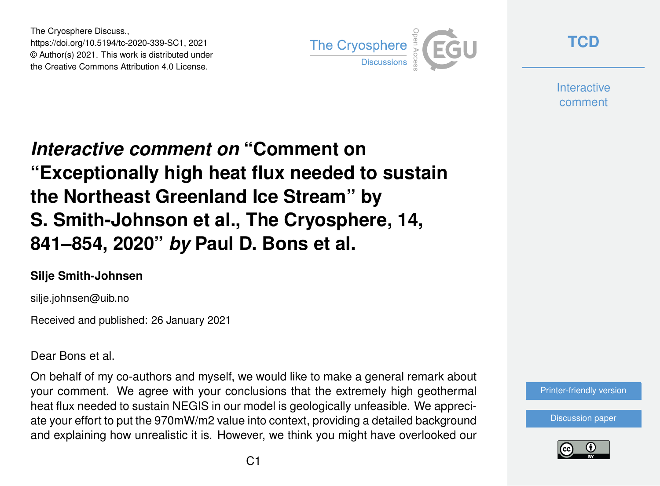The Cryosphere Discuss., https://doi.org/10.5194/tc-2020-339-SC1, 2021 © Author(s) 2021. This work is distributed under the Creative Commons Attribution 4.0 License.



**[TCD](https://tc.copernicus.org/preprints/)**

**Interactive** comment

## *Interactive comment on* **"Comment on "Exceptionally high heat flux needed to sustain the Northeast Greenland Ice Stream" by S. Smith-Johnson et al., The Cryosphere, 14, 841–854, 2020"** *by* **Paul D. Bons et al.**

## **Silje Smith-Johnsen**

silje.johnsen@uib.no

Received and published: 26 January 2021

Dear Bons et al.

On behalf of my co-authors and myself, we would like to make a general remark about your comment. We agree with your conclusions that the extremely high geothermal heat flux needed to sustain NEGIS in our model is geologically unfeasible. We appreciate your effort to put the 970mW/m2 value into context, providing a detailed background and explaining how unrealistic it is. However, we think you might have overlooked our

[Printer-friendly version](https://tc.copernicus.org/preprints/tc-2020-339/tc-2020-339-SC1-print.pdf)

[Discussion paper](https://tc.copernicus.org/preprints/tc-2020-339)